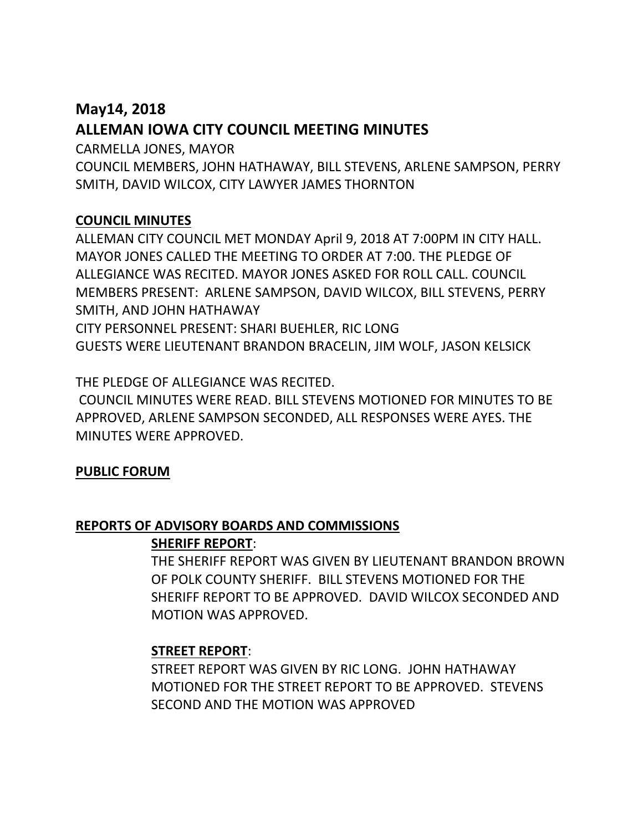# **May14, 2018 ALLEMAN IOWA CITY COUNCIL MEETING MINUTES**

CARMELLA JONES, MAYOR

COUNCIL MEMBERS, JOHN HATHAWAY, BILL STEVENS, ARLENE SAMPSON, PERRY SMITH, DAVID WILCOX, CITY LAWYER JAMES THORNTON

# **COUNCIL MINUTES**

ALLEMAN CITY COUNCIL MET MONDAY April 9, 2018 AT 7:00PM IN CITY HALL. MAYOR JONES CALLED THE MEETING TO ORDER AT 7:00. THE PLEDGE OF ALLEGIANCE WAS RECITED. MAYOR JONES ASKED FOR ROLL CALL. COUNCIL MEMBERS PRESENT: ARLENE SAMPSON, DAVID WILCOX, BILL STEVENS, PERRY SMITH, AND JOHN HATHAWAY CITY PERSONNEL PRESENT: SHARI BUEHLER, RIC LONG GUESTS WERE LIEUTENANT BRANDON BRACELIN, JIM WOLF, JASON KELSICK

THE PLEDGE OF ALLEGIANCE WAS RECITED.

COUNCIL MINUTES WERE READ. BILL STEVENS MOTIONED FOR MINUTES TO BE APPROVED, ARLENE SAMPSON SECONDED, ALL RESPONSES WERE AYES. THE MINUTES WERE APPROVED.

# **PUBLIC FORUM**

## **REPORTS OF ADVISORY BOARDS AND COMMISSIONS**

## **SHERIFF REPORT**:

THE SHERIFF REPORT WAS GIVEN BY LIEUTENANT BRANDON BROWN OF POLK COUNTY SHERIFF. BILL STEVENS MOTIONED FOR THE SHERIFF REPORT TO BE APPROVED. DAVID WILCOX SECONDED AND MOTION WAS APPROVED.

# **STREET REPORT**:

STREET REPORT WAS GIVEN BY RIC LONG. JOHN HATHAWAY MOTIONED FOR THE STREET REPORT TO BE APPROVED. STEVENS SECOND AND THE MOTION WAS APPROVED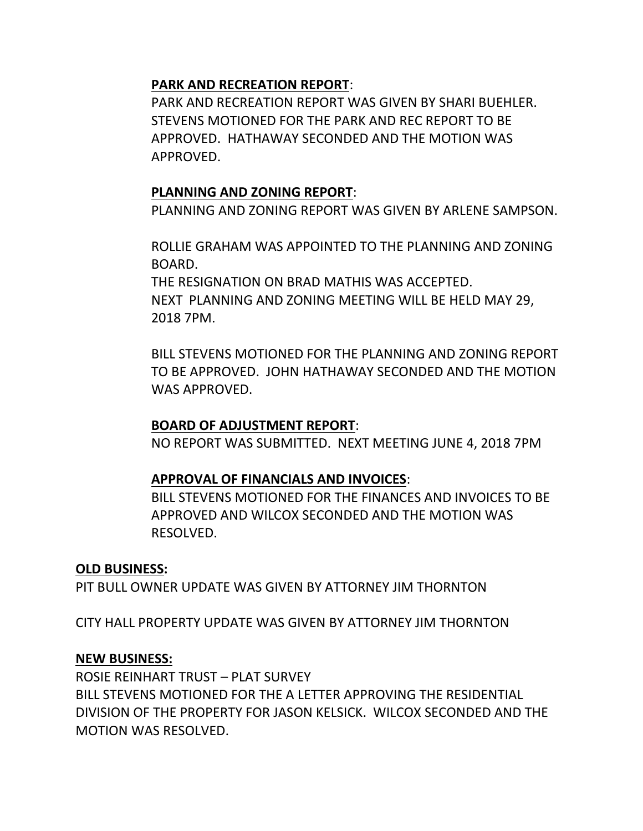## **PARK AND RECREATION REPORT**:

PARK AND RECREATION REPORT WAS GIVEN BY SHARI BUEHLER. STEVENS MOTIONED FOR THE PARK AND REC REPORT TO BE APPROVED. HATHAWAY SECONDED AND THE MOTION WAS APPROVED.

## **PLANNING AND ZONING REPORT**:

PLANNING AND ZONING REPORT WAS GIVEN BY ARLENE SAMPSON.

ROLLIE GRAHAM WAS APPOINTED TO THE PLANNING AND ZONING BOARD.

THE RESIGNATION ON BRAD MATHIS WAS ACCEPTED. NEXT PLANNING AND ZONING MEETING WILL BE HELD MAY 29, 2018 7PM.

BILL STEVENS MOTIONED FOR THE PLANNING AND ZONING REPORT TO BE APPROVED. JOHN HATHAWAY SECONDED AND THE MOTION WAS APPROVED.

## **BOARD OF ADJUSTMENT REPORT**:

NO REPORT WAS SUBMITTED. NEXT MEETING JUNE 4, 2018 7PM

# **APPROVAL OF FINANCIALS AND INVOICES**:

BILL STEVENS MOTIONED FOR THE FINANCES AND INVOICES TO BE APPROVED AND WILCOX SECONDED AND THE MOTION WAS RESOLVED.

## **OLD BUSINESS:**

PIT BULL OWNER UPDATE WAS GIVEN BY ATTORNEY JIM THORNTON

CITY HALL PROPERTY UPDATE WAS GIVEN BY ATTORNEY JIM THORNTON

## **NEW BUSINESS:**

ROSIE REINHART TRUST – PLAT SURVEY BILL STEVENS MOTIONED FOR THE A LETTER APPROVING THE RESIDENTIAL DIVISION OF THE PROPERTY FOR JASON KELSICK. WILCOX SECONDED AND THE MOTION WAS RESOLVED.